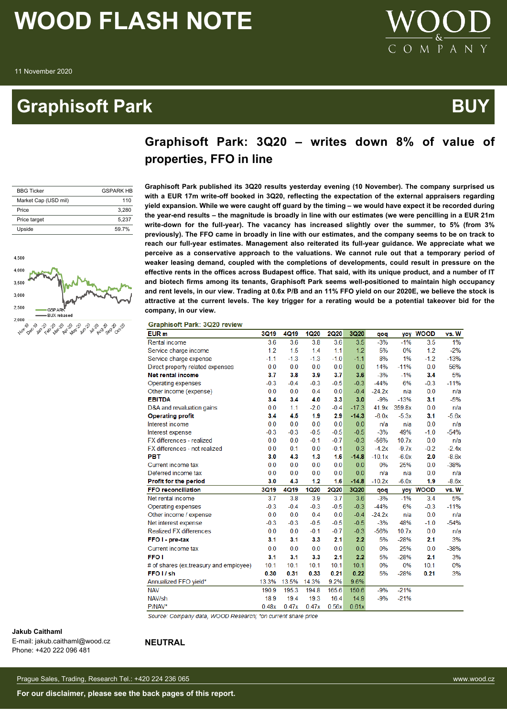### **Graphisoft Park Australian Control Control Control Control Control Control Control Control Control Control Co**



### **Graphisoft Park: 3Q20 – writes down 8% of value of properties, FFO in line**

| <b>BBG Ticker</b>    | <b>GSPARK HR</b> |
|----------------------|------------------|
| Market Cap (USD mil) | 110              |
| Price                | 3.280            |
| Price target         | 5.237            |
| Upside               | 597%             |



**Graphisoft Park published its 3Q20 results yesterday evening (10 November). The company surprised us with a EUR 17m write-off booked in 3Q20, reflecting the expectation of the external appraisers regarding yield expansion. While we were caught off guard by the timing – we would have expect it be recorded during the year-end results – the magnitude is broadly in line with our estimates (we were pencilling in a EUR 21m write-down for the full-year). The vacancy has increased slightly over the summer, to 5% (from 3% previously). The FFO came in broadly in line with our estimates, and the company seems to be on track to reach our full-year estimates. Management also reiterated its full-year guidance. We appreciate what we perceive as a conservative approach to the valuations. We cannot rule out that a temporary period of weaker leasing demand, coupled with the completions of developments, could result in pressure on the effective rents in the offices across Budapest office. That said, with its unique product, and a number of IT and biotech firms among its tenants, Graphisoft Park seems well-positioned to maintain high occupancy and rent levels, in our view. Trading at 0.6x P/B and an 11% FFO yield on our 2020E, we believe the stock is attractive at the current levels. The key trigger for a rerating would be a potential takeover bid for the company, in our view.**

**Graphisoft Park: 3Q20 review** 

| EUR m                                  | <b>3Q19</b> | 4Q19        | <b>1Q20</b> | <b>2Q20</b> | 3Q20    | qoq      | yoy     | <b>WOOD</b> | vs. W   |
|----------------------------------------|-------------|-------------|-------------|-------------|---------|----------|---------|-------------|---------|
| Rental income                          | 3.6         | 3.6         | 3.8         | 3.6         | 3.5     | $-3%$    | $-1%$   | 3.5         | 1%      |
| Service charge income                  | 1.2         | 1.5         | 1.4         | 1.1         | 1.2     | 5%       | 0%      | 1.2         | $-2%$   |
| Service charge expense                 | $-1.1$      | $-1.3$      | $-1.3$      | $-1.0$      | $-1.1$  | 8%       | 1%      | $-1.2$      | $-13%$  |
| Direct property related expenses       | 0.0         | 0.0         | 0.0         | 0.0         | 0.0     | 14%      | $-11%$  | 0.0         | 56%     |
| Net rental income                      | 3.7         | 3.8         | 3.9         | 3.7         | 3.6     | $-3%$    | $-1%$   | 3.4         | 5%      |
| Operating expenses                     | $-0.3$      | $-0.4$      | $-0.3$      | $-0.5$      | $-0.3$  | $-44%$   | 6%      | $-0.3$      | $-11%$  |
| Other income (expense)                 | 0.0         | 0.0         | 0.4         | 0.0         | $-0.4$  | $-24.2x$ | n/a     | 0.0         | n/a     |
| <b>EBITDA</b>                          | 3.4         | 3.4         | 4.0         | 3.3         | 3.0     | $-9%$    | $-13%$  | 3.1         | $-5%$   |
| D&A and revaluation gains              | 0.0         | 1.1         | $-2.0$      | $-0.4$      | $-17.3$ | 41.9x    | 359.8x  | 0.0         | n/a     |
| <b>Operating profit</b>                | 3.4         | 4.5         | 1.9         | 2.9         | $-14.3$ | $-6.0x$  | $-5.3x$ | 3.1         | $-5.6x$ |
| Interest income                        | 0.0         | 0.0         | 0.0         | 0.0         | 0.0     | n/a      | n/a     | 0.0         | n/a     |
| Interest expense                       | $-0.3$      | $-0.3$      | $-0.5$      | $-0.5$      | $-0.5$  | $-3%$    | 49%     | $-1.0$      | $-54%$  |
| FX differences - realized              | 0.0         | 0.0         | $-0.1$      | $-0.7$      | $-0.3$  | $-56%$   | 10.7x   | 0.0         | n/a     |
| FX differences - not realized          | 0.0         | 0.1         | 0.0         | $-0.1$      | 0.3     | $-4.2x$  | $-9.7x$ | $-0.2$      | $-2.4x$ |
| PBT                                    | 3.0         | 4.3         | 1.3         | 1.6         | $-14.8$ | $-10.1x$ | $-6.0x$ | 2.0         | $-8.6x$ |
| Current income tax                     | 0.0         | 0.0         | 0.0         | 0.0         | 0.0     | 0%       | 25%     | 0.0         | $-38%$  |
| Deferred income tax                    | 0.0         | 0.0         | 0.0         | 0.0         | 0.0     | n/a      | n/a     | 0.0         | n/a     |
| Profit for the period                  | 3.0         | 4.3         | 1.2         | 1.6         | $-14.8$ | $-10.2x$ | $-6.0x$ | 1.9         | $-8.6x$ |
| <b>FFO reconciliation</b>              | <b>3Q19</b> | <b>4Q19</b> | <b>1Q20</b> | <b>2Q20</b> | 3Q20    | qoq      | yoy     | <b>WOOD</b> | vs. W   |
| Net rental income                      | 3.7         | 3.8         | 3.9         | 3.7         | 3.6     | $-3%$    | $-1%$   | 3.4         | 5%      |
| Operating expenses                     | $-0.3$      | $-0.4$      | $-0.3$      | $-0.5$      | $-0.3$  | $-44%$   | 6%      | $-0.3$      | $-11%$  |
| Other income / expense                 | 0.0         | 0.0         | 0.4         | 0.0         | $-0.4$  | $-24.2x$ | n/a     | 0.0         | n/a     |
| Net interest expense                   | $-0.3$      | $-0.3$      | $-0.5$      | $-0.5$      | $-0.5$  | $-3%$    | 48%     | $-1.0$      | $-54%$  |
| <b>Realized FX differences</b>         | 0.0         | 0.0         | $-0.1$      | $-0.7$      | $-0.3$  | $-56%$   | 10.7x   | 0.0         | n/a     |
| FFO I - pre-tax                        | 3.1         | 3.1         | 3.3         | 2.1         | 2.2     | 5%       | $-28%$  | 2.1         | 3%      |
| Current income tax                     | 0.0         | 0.0         | 0.0         | 0.0         | 0.0     | 0%       | 25%     | 0.0         | $-38%$  |
| <b>FFO</b> I                           | 3.1         | 3.1         | 3.3         | 2.1         | 2.2     | 5%       | $-28%$  | 2.1         | 3%      |
| # of shares (ex.treasury and employee) | 10.1        | 10.1        | 10.1        | 10.1        | 10.1    | 0%       | 0%      | 10.1        | 0%      |
| FFO I / sh                             | 0.30        | 0.31        | 0.33        | 0.21        | 0.22    | 5%       | $-28%$  | 0.21        | 3%      |
| Annualized FFO yield*                  | 13.3%       | 13.5%       | 14.3%       | 9.2%        | 9.6%    |          |         |             |         |
| <b>NAV</b>                             | 190.9       | 195.3       | 194.8       | 165.6       | 150.6   | $-9%$    | $-21%$  |             |         |
| NAV/sh                                 | 18.9        | 19.4        | 19.3        | 16.4        | 14.9    | $-9%$    | $-21%$  |             |         |
| P/NAV*                                 | 0.48x       | 0.47x       | 0.47x       | 0.56x       | 0.61x   |          |         |             |         |
|                                        |             |             |             |             |         |          |         |             |         |

Source: Company data, WOOD Research; \*on current share price

#### **Jakub Caithaml**

E-mail: jakub.caithaml@wood.cz Phone: +420 222 096 481

#### **NEUTRAL**

Prague Sales, Trading, Research Tel.: +420 224 236 065 www.wood.cz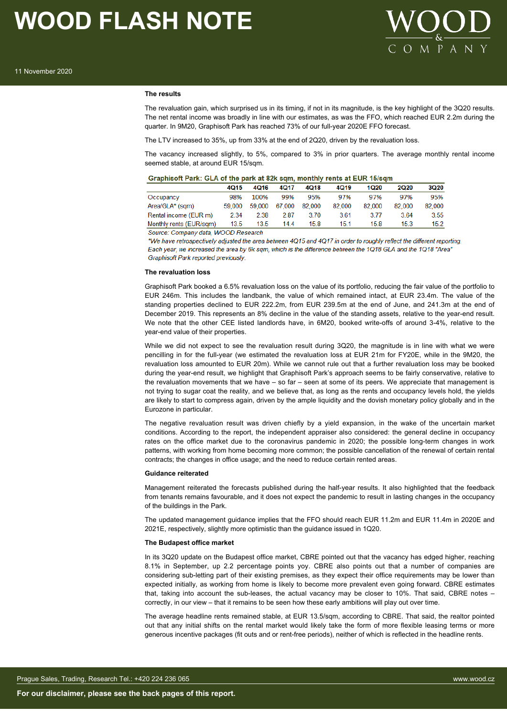

#### **The results**

The revaluation gain, which surprised us in its timing, if not in its magnitude, is the key highlight of the 3Q20 results. The net rental income was broadly in line with our estimates, as was the FFO, which reached EUR 2.2m during the quarter. In 9M20, Graphisoft Park has reached 73% of our full-year 2020E FFO forecast.

The LTV increased to 35%, up from 33% at the end of 2Q20, driven by the revaluation loss.

The vacancy increased slightly, to 5%, compared to 3% in prior quarters. The average monthly rental income seemed stable, at around EUR 15/sqm.

|                         | 4015   | 4Q16   | 4Q17   | 4Q18   | 4Q19   | 1Q20   | 2Q20   | 3Q20   |
|-------------------------|--------|--------|--------|--------|--------|--------|--------|--------|
| Occupancy               | 98%    | 100%   | 99%    | 95%    | 97%    | 97%    | 97%    | 95%    |
| Area/GLA* (sqm)         | 59.000 | 59.000 | 67.000 | 82.000 | 82.000 | 82.000 | 82.000 | 82,000 |
| Rental income (EUR m)   | 2.34   | 2.38   | 2.87   | 3.70   | 3.61   | 3.77   | 3.64   | 3.55   |
| Monthly rents (EUR/sqm) | 13.5   | 13.5   | 14.4   | 15.8   | 15.1   | 15.8   | 15.3   | 15.2   |
|                         | .      |        |        |        |        |        |        |        |

Source: Company data, WOOD Research

\*We have retrospectively adjusted the area between 4Q15 and 4Q17 in order to roughly reflect the different reporting. Each year, we increased the area by 6k sqm, which is the difference between the 1Q18 GLA and the 1Q18 "Area" Graphisoft Park reported previously.

#### **The revaluation loss**

Graphisoft Park booked a 6.5% revaluation loss on the value of its portfolio, reducing the fair value of the portfolio to EUR 246m. This includes the landbank, the value of which remained intact, at EUR 23.4m. The value of the standing properties declined to EUR 222.2m, from EUR 239.5m at the end of June, and 241.3m at the end of December 2019. This represents an 8% decline in the value of the standing assets, relative to the year-end result. We note that the other CEE listed landlords have, in 6M20, booked write-offs of around 3-4%, relative to the year-end value of their properties.

While we did not expect to see the revaluation result during 3Q20, the magnitude is in line with what we were pencilling in for the full-year (we estimated the revaluation loss at EUR 21m for FY20E, while in the 9M20, the revaluation loss amounted to EUR 20m). While we cannot rule out that a further revaluation loss may be booked during the year-end result, we highlight that Graphisoft Park's approach seems to be fairly conservative, relative to the revaluation movements that we have – so far – seen at some of its peers. We appreciate that management is not trying to sugar coat the reality, and we believe that, as long as the rents and occupancy levels hold, the yields are likely to start to compress again, driven by the ample liquidity and the dovish monetary policy globally and in the Eurozone in particular.

The negative revaluation result was driven chiefly by a yield expansion, in the wake of the uncertain market conditions. According to the report, the independent appraiser also considered: the general decline in occupancy rates on the office market due to the coronavirus pandemic in 2020; the possible long-term changes in work patterns, with working from home becoming more common; the possible cancellation of the renewal of certain rental contracts; the changes in office usage; and the need to reduce certain rented areas.

#### **Guidance reiterated**

Management reiterated the forecasts published during the half-year results. It also highlighted that the feedback from tenants remains favourable, and it does not expect the pandemic to result in lasting changes in the occupancy of the buildings in the Park.

The updated management guidance implies that the FFO should reach EUR 11.2m and EUR 11.4m in 2020E and 2021E, respectively, slightly more optimistic than the guidance issued in 1Q20.

#### **The Budapest office market**

In its 3Q20 update on the Budapest office market, CBRE pointed out that the vacancy has edged higher, reaching 8.1% in September, up 2.2 percentage points yoy. CBRE also points out that a number of companies are considering sub-letting part of their existing premises, as they expect their office requirements may be lower than expected initially, as working from home is likely to become more prevalent even going forward. CBRE estimates that, taking into account the sub-leases, the actual vacancy may be closer to 10%. That said, CBRE notes – correctly, in our view – that it remains to be seen how these early ambitions will play out over time.

The average headline rents remained stable, at EUR 13.5/sqm, according to CBRE. That said, the realtor pointed out that any initial shifts on the rental market would likely take the form of more flexible leasing terms or more generous incentive packages (fit outs and or rent-free periods), neither of which is reflected in the headline rents.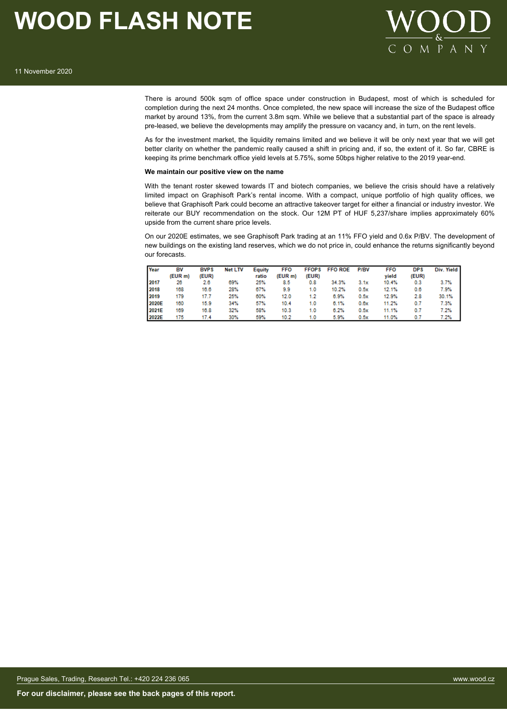



There is around 500k sqm of office space under construction in Budapest, most of which is scheduled for completion during the next 24 months. Once completed, the new space will increase the size of the Budapest office market by around 13%, from the current 3.8m sqm. While we believe that a substantial part of the space is already pre-leased, we believe the developments may amplify the pressure on vacancy and, in turn, on the rent levels.

As for the investment market, the liquidity remains limited and we believe it will be only next year that we will get better clarity on whether the pandemic really caused a shift in pricing and, if so, the extent of it. So far, CBRE is keeping its prime benchmark office yield levels at 5.75%, some 50bps higher relative to the 2019 year-end.

#### **We maintain our positive view on the name**

With the tenant roster skewed towards IT and biotech companies, we believe the crisis should have a relatively limited impact on Graphisoft Park's rental income. With a compact, unique portfolio of high quality offices, we believe that Graphisoft Park could become an attractive takeover target for either a financial or industry investor. We reiterate our BUY recommendation on the stock. Our 12M PT of HUF 5,237/share implies approximately 60% upside from the current share price levels.

On our 2020E estimates, we see Graphisoft Park trading at an 11% FFO yield and 0.6x P/BV. The development of new buildings on the existing land reserves, which we do not price in, could enhance the returns significantly beyond our forecasts.

| Year  | BV      | <b>BVPS</b> | <b>Net LTV</b> | Equity | <b>FFO</b> | <b>FFOPS</b> | <b>FFO ROE</b> | P/BV | <b>FFO</b> | <b>DPS</b> | Div. Yield |
|-------|---------|-------------|----------------|--------|------------|--------------|----------------|------|------------|------------|------------|
|       | (EUR m) | (EUR)       |                | ratio  | (EUR m)    | (EUR)        |                |      | vield      | (EUR)      |            |
| 2017  | 26      | 2.6         | 69%            | 25%    | 8.5        | 0.8          | 34.3%          | 3.1x | 10.4%      | 0.3        | 3.7%       |
| 2018  | 168     | 16.6        | 28%            | 67%    | 9.9        | 1.0          | 10.2%          | 0.5x | 12.1%      | 0.6        | 7.9%       |
| 2019  | 179     | 17.7        | 25%            | 60%    | 12.0       | 1.2          | 6.9%           | 0.5x | 12.9%      | 2.8        | 30.1%      |
| 2020E | 160     | 15.9        | 34%            | 57%    | 10.4       | 1.0          | 6.1%           | 0.6x | 11.2%      | 0.7        | 7.3%       |
| 2021E | 169     | 16.8        | 32%            | 58%    | 10.3       | 1.0          | 6.2%           | 0.5x | 11.1%      | 0.7        | 7.2%       |
| 2022E | 175     | 17.4        | 30%            | 59%    | 10.2       | 1.0          | 5.9%           | 0.5x | 11.0%      |            | $7.2\%$    |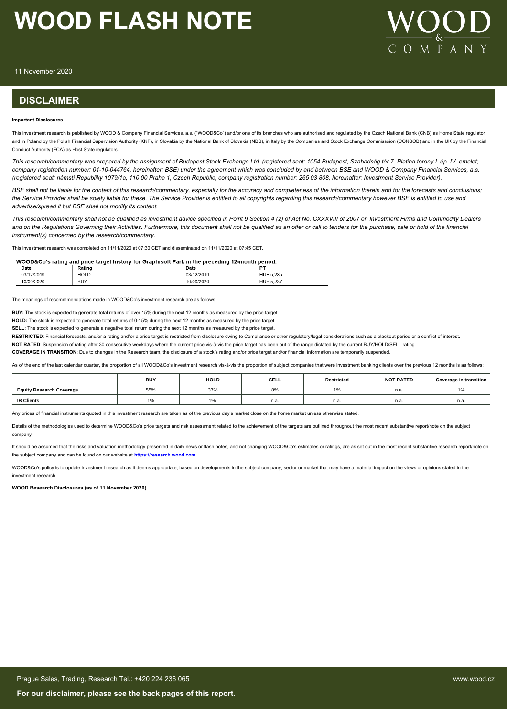

11 November 2020

### **DISCLAIMER**

#### **Important Disclosures**

This investment research is published by WOOD & Company Financial Services, a.s. ("WOOD&Co") and/or one of its branches who are authorised and regulated by the Czech National Bank (CNB) as Home State requlator and in Poland by the Polish Financial Supervision Authority (KNF), in Slovakia by the National Bank of Slovakia (NBS), in Italy by the Companies and Stock Exchange Commisssion (CONSOB) and in the UK by the Financial Conduct Authority (FCA) as Host State regulators.

*This research/commentary was prepared by the assignment of Budapest Stock Exchange Ltd. (registered seat: 1054 Budapest, Szabadság tér 7. Platina torony I. ép. IV. emelet; company registration number: 01-10-044764, hereinafter: BSE) under the agreement which was concluded by and between BSE and WOOD & Company Financial Services, a.s. (registered seat: námstí Republiky 1079/1a, 110 00 Praha 1, Czech Republic; company registration number: 265 03 808, hereinafter: Investment Service Provider).*

*BSE shall not be liable for the content of this research/commentary, especially for the accuracy and completeness of the information therein and for the forecasts and conclusions; the Service Provider shall be solely liable for these. The Service Provider is entitled to all copyrights regarding this research/commentary however BSE is entitled to use and advertise/spread it but BSE shall not modify its content.*

*This research/commentary shall not be qualified as investment advice specified in Point 9 Section 4 (2) of Act No. CXXXVIII of 2007 on Investment Firms and Commodity Dealers and on the Regulations Governing their Activities. Furthermore, this document shall not be qualified as an offer or call to tenders for the purchase, sale or hold of the financial instrument(s) concerned by the research/commentary.*

This investment research was completed on 11/11/2020 at 07:30 CET and disseminated on 11/11/2020 at 07:45 CET.

#### WOOD&Co's rating and price target history for Graphisoft Park in the preceding 12-month period:

| Date                    | $1 - 4$<br>κaτınc | Date         | D.                                   |
|-------------------------|-------------------|--------------|--------------------------------------|
| 2/2019<br>0.014<br>1.11 | HOLL              | 2/2019<br>-- | 5.285<br>HUF                         |
| 0/09/2020               | BUY               | 0/09/2020    | $\cdot$ $\sim$<br><b>HUF</b><br>.23. |

The meanings of recommmendations made in WOOD&Co's investment research are as follows:

**BUY:** The stock is expected to generate total returns of over 15% during the next 12 months as measured by the price target.

**HOLD:** The stock is expected to generate total returns of 0-15% during the next 12 months as measured by the price target.

**SELL:** The stock is expected to generate a negative total return during the next 12 months as measured by the price target.

RESTRICTED: Financial forecasts, and/or a rating and/or a price target is restricted from disclosure owing to Compliance or other regulatory/legal considerations such as a blackout period or a conflict of interest.

**NOT RATED**: Suspension of rating after 30 consecutive weekdays where the current price vis-à-vis the price target has been out of the range dictated by the current BUY/HOLD/SELL rating.

**COVERAGE IN TRANSITION**: Due to changes in the Research team, the disclosure of a stock's rating and/or price target and/or financial information are temporarily suspended.

As of the end of the last calendar quarter, the proportion of all WOOD&Co's investment research vis-à-vis the proportion of subject companies that were investment banking clients over the previous 12 months is as follows:

|                                 | <b>BUY</b> | <b>HOLD</b>   | <b>SELL</b> | Restricted             | <b>NOT RATED</b> | <b>Coverage in transition</b> |
|---------------------------------|------------|---------------|-------------|------------------------|------------------|-------------------------------|
| <b>Equity Research Coverage</b> | 55%        | 37%           | <b>8%</b>   | $\overline{A}$<br>l 7o | n.a              | 1%                            |
| <b>IB Clients</b>               | .          | $\frac{1}{2}$ | n.a.        | n.a.                   | n.a.             | n.a.                          |

Any prices of financial instruments quoted in this investment research are taken as of the previous day's market close on the home market unless otherwise stated.

Details of the methodologies used to determine WOOD&Co's price targets and risk assessment related to the achievement of the targets are outlined throughout the most recent substantive report/note on the subject company.

It should be assumed that the risks and valuation methodology presented in daily news or flash notes, and not changing WOOD&Co's estimates or ratings, are as set out in the most recent substantive research report/note on the subject company and can be found on our website at **[https://research.wood.com](https://research.wood.com/)**.

WOOD&Co's policy is to update investment research as it deems appropriate, based on developments in the subject company, sector or market that may have a material impact on the views or opinions stated in the investment research.

**WOOD Research Disclosures (as of 11 November 2020)**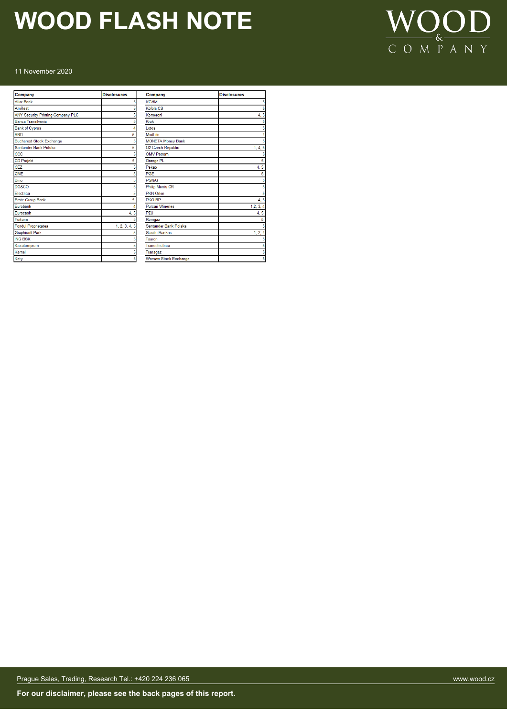

#### 11 November 2020

| Company                           | <b>Disclosures</b> | Company                      | <b>Disclosures</b> |
|-----------------------------------|--------------------|------------------------------|--------------------|
| <b>Alior Bank</b>                 | 5                  | <b>KGHM</b>                  |                    |
| AmRest                            |                    | Kofola CS                    |                    |
| ANY Security Printing Company PLC |                    | Komercni                     | 4.5                |
| Banca Transilvania                |                    | Kruk                         |                    |
| <b>Bank of Cyprus</b>             |                    | Lotos                        |                    |
| <b>BRD</b>                        | 5                  | Medl.ife                     |                    |
| <b>Bucharest Stock Exchange</b>   |                    | <b>MONETA Money Bank</b>     |                    |
| Santander Bank Polska             | 5                  | <b>O2 Czech Republic</b>     | 1, 4, 5            |
| CCC                               |                    | <b>OMV Petrom</b>            |                    |
| <b>CD Projekt</b>                 | 5                  | Orange PL                    | 5                  |
| CEZ                               |                    | Pekao                        | 4, 5               |
| <b>CME</b>                        |                    | PGE                          | 5                  |
| Dino                              |                    | <b>PGNiG</b>                 |                    |
| <b>DO&amp;CO</b>                  |                    | <b>Philip Morris CR</b>      |                    |
| Electrica                         |                    | <b>PKN Orlen</b>             |                    |
| <b>Erste Group Bank</b>           | 5                  | PKO BP                       | 4.5                |
| Eurobank                          |                    | <b>Purcari Wineries</b>      | 1, 2, 3, 4         |
| Eurocash                          | 4, 5               | PZU                          | 4, 5               |
| Fortuna                           |                    | Romgaz                       |                    |
| <b>Fondul Proprietatea</b>        | 1, 2, 3, 4, 5      | Santander Bank Polska        |                    |
| <b>Graphisoft Park</b>            |                    | <b>Siauliu Bankas</b>        | 1, 2, 4            |
| <b>ING BSK</b>                    |                    | Tauron                       |                    |
| Kazatomprom                       |                    | Transelectrica               |                    |
| Kernel                            |                    | Transgaz                     |                    |
| Kety                              | 5                  | <b>Warsaw Stock Exchange</b> | 5                  |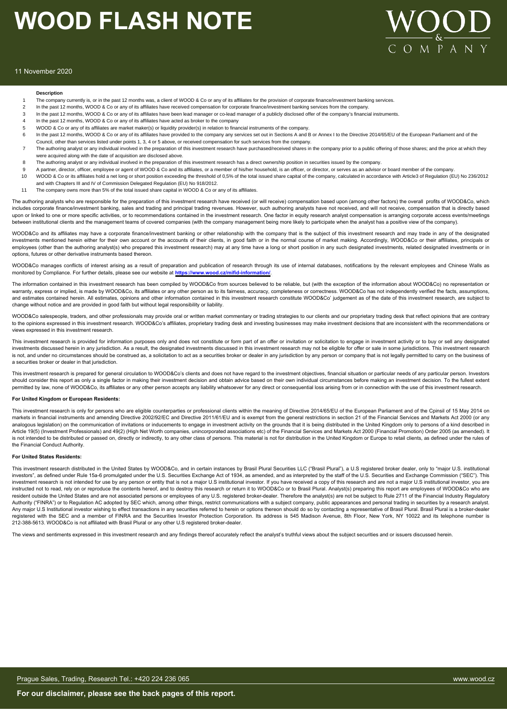

#### 11 November 2020

#### **Description**

- The company currently is, or in the past 12 months was, a client of WOOD & Co or any of its affiliates for the provision of corporate finance/investment banking services.
- 2 In the past 12 months, WOOD & Co or any of its affiliates have received compensation for corporate finance/investment banking services from the company
- 3 In the past 12 months, WOOD & Co or any of its affiliates have been lead manager or co-lead manager of a publicly disclosed offer of the company's financial instruments.
- 4 In the past 12 months, WOOD & Co or any of its affiliates have acted as broker to the company
- 5 WOOD & Co or any of its affiliates are market maker(s) or liquidity provider(s) in relation to financial instruments of the company.
- 6 In the past 12 months, WOOD & Co or any of its affiliates have provided to the company any services set out in Sections A and B or Annex I to the Directive 2014/65/EU of the European Parliament and of the
- Council, other than services listed under points 1, 3, 4 or 5 above, or received compensation for such services from the company. The authoring analyst or any individual involved in the preparation of this investment research have purchased/received shares in the company prior to a public offering of those shares; and the price at which they were acquired along with the date of acquisition are disclosed above.
- 8 The authoring analyst or any individual involved in the preparation of this investment research has a direct ownership position in securities issued by the company.
- 9 A partner, director, officer, employee or agent of WOOD & Co and its affiliates, or a member of this/her household, is an officer, or director, or serves as an advisor or board member of the company.
- 10 WOOD & Co or its affiliates hold a net long or short position exceeding the threshold of 0,5% of the total issued share capital of the company, calculated in accordance with Article3 of Regulation (EU) No 236/2012 and with Chapters III and IV of Commission Delegated Regulation (EU) No 918/2012.
- 11 The company owns more than 5% of the total issued share capital in WOOD & Co or any of its affiliates.

The authoring analysts who are responsible for the preparation of this investment research have received (or will receive) compensation based upon (among other factors) the overall profits of WOOD&Co, which includes corporate finance/investment banking, sales and trading and principal trading revenues. However, such authoring analysts have not received, and will not receive, compensation that is directly based upon or linked to one or more specific activities, or to recommendations contained in the investment research. One factor in equity research analyst compensation is arranging corporate access events/meetings een institutional clients and the management teams of covered companies (with the company management being more likely to participate when the analyst has a positive view of the company).

WOOD&Co and its affiliates may have a corporate finance/investment banking or other relationship with the company that is the subject of this investment research and may trade in any of the designated investments mentioned herein either for their own account or the accounts of their clients, in good faith or in the normal course of market making. Accordingly, WOOD&Co or their affiliates, principals or employees (other than the authoring analyst(s) who prepared this investment research) may at any time have a long or short position in any such designated investments, related designated investments or in options, futures or other derivative instruments based thereon.

WOOD&Co manages conflicts of interest arising as a result of preparation and publication of research through its use of internal databases, notifications by the relevant employees and Chinese Walls as monitored by Compliance. For further details, please see our website at **https://www.wood.cz/mifid-information/**.

The information contained in this investment research has been compiled by WOOD&Co from sources believed to be reliable, but (with the exception of the information about WOOD&Co) no representation or warranty, express or implied, is made by WOOD&Co, its affiliates or any other person as to its fairness, accuracy, completeness or correctness. WOOD&Co has not independently verified the facts, assumptions, and estimates contained herein. All estimates, opinions and other information contained in this investment research constitute WOOD&Co' judgement as of the date of this investment research, are subject to change without notice and are provided in good faith but without legal responsibility or liability.

WOOD&Co salespeople, traders, and other professionals may provide oral or written market commentary or trading strategies to our clients and our proprietary trading desk that reflect opinions that are contrary to the opinions expressed in this investment research. WOOD&Co's affiliates, proprietary trading desk and investing businesses may make investment decisions that are inconsistent with the recommendations or views expressed in this investment research.

This investment research is provided for information purposes only and does not constitute or form part of an offer or invitation or solicitation to engage in investment activity or to buy or sell any designated investments discussed herein in any jurisdiction. As a result, the designated investments discussed in this investment research may not be eligible for offer or sale in some jurisdictions. This investment research is not, and under no circumstances should be construed as, a solicitation to act as a securities broker or dealer in any jurisdiction by any person or company that is not legally permitted to carry on the business of a securities broker or dealer in that jurisdiction.

This investment research is prepared for general circulation to WOOD&Co's clients and does not have regard to the investment objectives, financial situation or particular needs of any particular person. Investors should consider this report as only a single factor in making their investment decision and obtain advice based on their own individual circumstances before making an investment decision. To the fullest extent permitted by law, none of WOOD&Co, its affiliates or any other person accepts any liability whatsoever for any direct or consequential loss arising from or in connection with the use of this investment research.

#### **For United Kingdom or European Residents:**

This investment research is only for persons who are eligible counterparties or professional clients within the meaning of Directive 2014/65/EU of the European Parliament and of the Cpinsil of 15 May 2014 on markets in financial instruments and amending Directive 2002/92/EC and Directive 2011/61/EU and is exempt from the general restrictions in section 21 of the Financial Services and Markets Act 2000 (or any analogous legislation) on the communication of invitations or inducements to engage in investment activity on the grounds that it is being distributed in the United Kingdom only to persons of a kind described in Article 19(5) (Investment Professionals) and 49(2) (High Net Worth companies, unincorporated associations etc) of the Financial Services and Markets Act 2000 (Financial Promotion) Order 2005 (as amended). It is not intended to be distributed or passed on, directly or indirectly, to any other class of persons. This material is not for distribution in the United Kingdom or Europe to retail clients, as defined under the rules of the Financial Conduct Authority.

#### **For United States Residents:**

This investment research distributed in the United States by WOOD&Co, and in certain instances by Brasil Plural Securities LLC ("Brasil Plural"), a U.S registered broker dealer, only to "major U.S. institutional investors", as defined under Rule 15a-6 promulgated under the U.S. Securities Exchange Act of 1934, as amended, and as interpreted by the staff of the U.S. Securities and Exchange Commission ("SEC"). This investment research is not intended for use by any person or entity that is not a major U.S institutional investor. If you have received a copy of this research and are not a major U.S institutional investor, you are instructed not to read, rely on or reproduce the contents hereof, and to destroy this research or return it to WOOD&Co or to Brasil Plural. Analyst(s) preparing this report are employees of WOOD&Co who are resident outside the United States and are not associated persons or employees of any U.S. registered broker-dealer. Therefore the analyst(s) are not be subject to Rule 2711 of the Financial Industry Regulatory Authority ("FINRA") or to Regulation AC adopted by SEC which, among other things, restrict communications with a subject company, public appearances and personal trading in securities by a research analyst. Any major U.S Institutional investor wishing to effect transactions in any securities referred to herein or options thereon should do so by contacting a representative of Brasil Plural. Brasil Plural is a broker-dealer registered with the SEC and a member of FINRA and the Securities Investor Protection Corporation. Its address is 545 Madison Avenue, 8th Floor, New York, NY 10022 and its telephone number is 212-388-5613. WOOD&Co is not affiliated with Brasil Plural or any other U.S registered broker-dealer.

The views and sentiments expressed in this investment research and any findings thereof accurately reflect the analyst's truthful views about the subject securities and or issuers discussed herein.